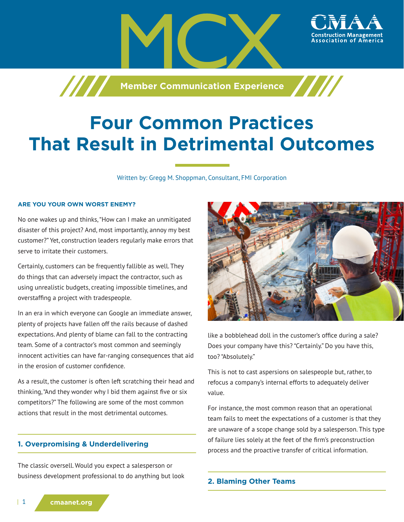

# **Four Common Practices That Result in Detrimental Outcomes**

Written by: Gregg M. Shoppman, Consultant, FMI Corporation

#### **ARE YOU YOUR OWN WORST ENEMY?**

No one wakes up and thinks, "How can I make an unmitigated disaster of this project? And, most importantly, annoy my best customer?" Yet, construction leaders regularly make errors that serve to irritate their customers.

Certainly, customers can be frequently fallible as well. They do things that can adversely impact the contractor, such as using unrealistic budgets, creating impossible timelines, and overstaffing a project with tradespeople.

In an era in which everyone can Google an immediate answer, plenty of projects have fallen off the rails because of dashed expectations. And plenty of blame can fall to the contracting team. Some of a contractor's most common and seemingly innocent activities can have far-ranging consequences that aid in the erosion of customer confidence.

As a result, the customer is often left scratching their head and thinking, "And they wonder why I bid them against five or six competitors?" The following are some of the most common actions that result in the most detrimental outcomes.

# **1. Overpromising & Underdelivering**

The classic oversell. Would you expect a salesperson or business development professional to do anything but look



like a bobblehead doll in the customer's office during a sale? Does your company have this? "Certainly." Do you have this, too? "Absolutely."

This is not to cast aspersions on salespeople but, rather, to refocus a company's internal efforts to adequately deliver value.

For instance, the most common reason that an operational team fails to meet the expectations of a customer is that they are unaware of a scope change sold by a salesperson. This type of failure lies solely at the feet of the firm's preconstruction process and the proactive transfer of critical information.

#### **2. Blaming Other Teams**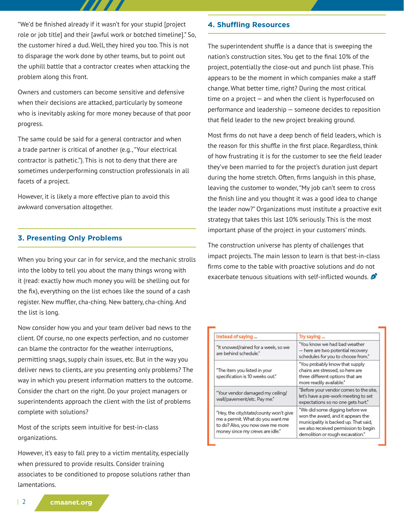"We'd be finished already if it wasn't for your stupid [project role or job title] and their [awful work or botched timeline]." So, the customer hired a dud. Well, they hired you too. This is not to disparage the work done by other teams, but to point out the uphill battle that a contractor creates when attacking the problem along this front.

Owners and customers can become sensitive and defensive when their decisions are attacked, particularly by someone who is inevitably asking for more money because of that poor progress.

The same could be said for a general contractor and when a trade partner is critical of another (e.g., "Your electrical contractor is pathetic."). This is not to deny that there are sometimes underperforming construction professionals in all facets of a project.

However, it is likely a more effective plan to avoid this awkward conversation altogether.

# **3. Presenting Only Problems**

When you bring your car in for service, and the mechanic strolls into the lobby to tell you about the many things wrong with it (read: exactly how much money you will be shelling out for the fix), everything on the list echoes like the sound of a cash register. New muffler, cha-ching. New battery, cha-ching. And the list is long.

Now consider how you and your team deliver bad news to the client. Of course, no one expects perfection, and no customer can blame the contractor for the weather interruptions, permitting snags, supply chain issues, etc. But in the way you deliver news to clients, are you presenting only problems? The way in which you present information matters to the outcome. Consider the chart on the right. Do your project managers or superintendents approach the client with the list of problems complete with solutions?

Most of the scripts seem intuitive for best-in-class organizations.

However, it's easy to fall prey to a victim mentality, especially when pressured to provide results. Consider training associates to be conditioned to propose solutions rather than lamentations.

## **4. Shuffling Resources**

The superintendent shuffle is a dance that is sweeping the nation's construction sites. You get to the final 10% of the project, potentially the close-out and punch list phase. This appears to be the moment in which companies make a staff change. What better time, right? During the most critical time on a project — and when the client is hyperfocused on performance and leadership — someone decides to reposition that field leader to the new project breaking ground.

Most firms do not have a deep bench of field leaders, which is the reason for this shuffle in the first place. Regardless, think of how frustrating it is for the customer to see the field leader they've been married to for the project's duration just depart during the home stretch. Often, firms languish in this phase, leaving the customer to wonder, "My job can't seem to cross the finish line and you thought it was a good idea to change the leader now?" Organizations must institute a proactive exit strategy that takes this last 10% seriously. This is the most important phase of the project in your customers' minds.

The construction universe has plenty of challenges that impact projects. The main lesson to learn is that best-in-class firms come to the table with proactive solutions and do not exacerbate tenuous situations with self-inflicted wounds.

| Instead of saying                                                                                                                                 | Try saying                                                                                                                                                                               |
|---------------------------------------------------------------------------------------------------------------------------------------------------|------------------------------------------------------------------------------------------------------------------------------------------------------------------------------------------|
| "It snowed/rained for a week, so we<br>are behind schedule."                                                                                      | "You know we had bad weather<br>- here are two potential recovery<br>schedules for you to choose from."                                                                                  |
| "The item you listed in your<br>specification is 10 weeks out."                                                                                   | "You probably know that supply<br>chains are stressed, so here are<br>three different options that are<br>more readily available."                                                       |
| "Your vendor damaged my ceiling/<br>wall/pavement/etc. Pay me."                                                                                   | "Before your vendor comes to the site,<br>let's have a pre-work meeting to set<br>expectations so no one gets hurt."                                                                     |
| "Hey, the city/state/county won't give<br>me a permit. What do you want me<br>to do? Also, you now owe me more<br>money since my crews are idle." | "We did some digging before we<br>won the award, and it appears the<br>municipality is backed up. That said,<br>we also received permission to begin<br>demolition or rough excavation." |